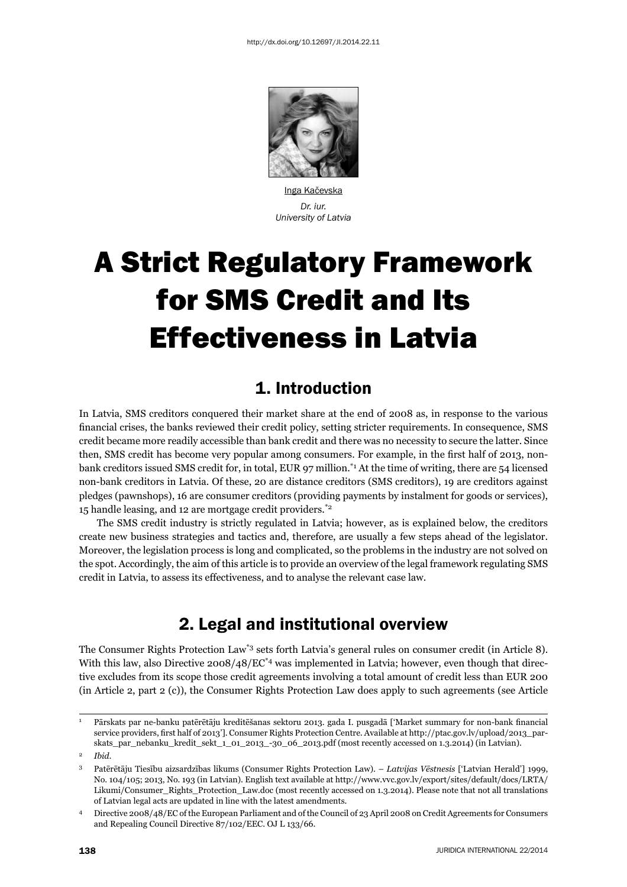

Inga Kačevska *Dr. iur. University of Latvia*

# A Strict Regulatory Framework for SMS Credit and Its Effectiveness in Latvia

# 1. Introduction

In Latvia, SMS creditors conquered their market share at the end of 2008 as, in response to the various financial crises, the banks reviewed their credit policy, setting stricter requirements. In consequence, SMS credit became more readily accessible than bank credit and there was no necessity to secure the latter. Since then, SMS credit has become very popular among consumers. For example, in the first half of 2013, nonbank creditors issued SMS credit for, in total, EUR 97 million.<sup>\*1</sup> At the time of writing, there are 54 licensed non-bank creditors in Latvia. Of these, 20 are distance creditors (SMS creditors), 19 are creditors against pledges (pawnshops), 16 are consumer creditors (providing payments by instalment for goods or services), 15 handle leasing, and 12 are mortgage credit providers.\*2

The SMS credit industry is strictly regulated in Latvia; however, as is explained below, the creditors create new business strategies and tactics and, therefore, are usually a few steps ahead of the legislator. Moreover, the legislation process is long and complicated, so the problems in the industry are not solved on the spot. Accordingly, the aim of this article is to provide an overview of the legal framework regulating SMS credit in Latvia, to assess its effectiveness, and to analyse the relevant case law.

# 2. Legal and institutional overview

The Consumer Rights Protection Law<sup>\*3</sup> sets forth Latvia's general rules on consumer credit (in Article 8). With this law, also Directive  $2008/48/EC^4$  was implemented in Latvia; however, even though that directive excludes from its scope those credit agreements involving a total amount of credit less than EUR 200 (in Article 2, part 2 (c)), the Consumer Rights Protection Law does apply to such agreements (see Article

<sup>1</sup> Pārskats par ne-banku patērētāju kreditēšanas sektoru 2013. gada I. pusgadā ['Market summary for non-bank financial service providers, first half of 2013']. Consumer Rights Protection Centre. Available at http://ptac.gov.lv/upload/2013\_parskats\_par\_nebanku\_kredit\_sekt\_1\_01\_2013\_-30\_06\_2013.pdf (most recently accessed on 1.3.2014) (in Latvian).

<sup>2</sup> *Ibid*.

<sup>3</sup> Patērētāju Tiesību aizsardzības likums (Consumer Rights Protection Law). – *Latvijas Vēstnesis* ['Latvian Herald'] 1999, No. 104/105; 2013, No. 193 (in Latvian). English text available at http://www.vvc.gov.lv/export/sites/default/docs/LRTA/ Likumi/Consumer\_Rights\_Protection\_Law.doc (most recently accessed on 1.3.2014). Please note that not all translations of Latvian legal acts are updated in line with the latest amendments.

<sup>4</sup> Directive 2008/48/EC of the European Parliament and of the Council of 23 April 2008 on Credit Agreements for Consumers and Repealing Council Directive 87/102/EEC. OJ L 133/66.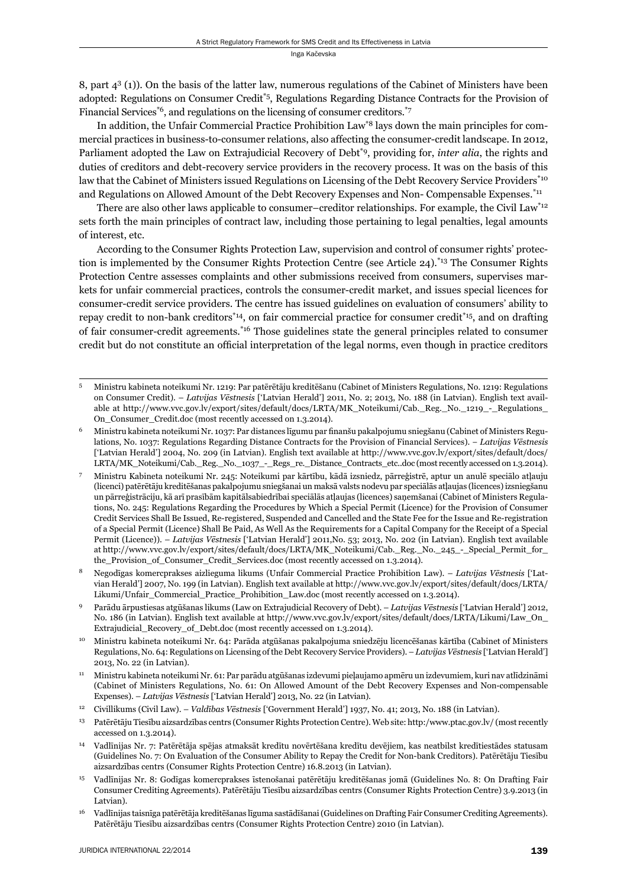8, part 43 (1)). On the basis of the latter law, numerous regulations of the Cabinet of Ministers have been adopted: Regulations on Consumer Credit<sup>\*5</sup>, Regulations Regarding Distance Contracts for the Provision of Financial Services<sup> $*6$ </sup>, and regulations on the licensing of consumer creditors.<sup> $*7$ </sup>

In addition, the Unfair Commercial Practice Prohibition Law\*8 lays down the main principles for commercial practices in business-to-consumer relations, also affecting the consumer-credit landscape. In 2012, Parliament adopted the Law on Extrajudicial Recovery of Debt\*9 , providing for, *inter alia*, the rights and duties of creditors and debt-recovery service providers in the recovery process. It was on the basis of this law that the Cabinet of Ministers issued Regulations on Licensing of the Debt Recovery Service Providers<sup>\*10</sup> and Regulations on Allowed Amount of the Debt Recovery Expenses and Non- Compensable Expenses.<sup>\*11</sup>

 There are also other laws applicable to consumer–creditor relationships. For example, the Civil Law\*12 sets forth the main principles of contract law, including those pertaining to legal penalties, legal amounts of interest, etc.

According to the Consumer Rights Protection Law, supervision and control of consumer rights' protection is implemented by the Consumer Rights Protection Centre (see Article 24).\*13 The Consumer Rights Protection Centre assesses complaints and other submissions received from consumers, supervises markets for unfair commercial practices, controls the consumer-credit market, and issues special licences for consumer-credit service providers. The centre has issued guidelines on evaluation of consumers' ability to repay credit to non-bank creditors<sup>\*14</sup>, on fair commercial practice for consumer credit<sup>\*15</sup>, and on drafting of fair consumer-credit agreements.<sup>\*16</sup> Those guidelines state the general principles related to consumer credit but do not constitute an official interpretation of the legal norms, even though in practice creditors

- 5 Ministru kabineta noteikumi Nr. 1219: Par patērētāju kreditēšanu (Cabinet of Ministers Regulations, No. 1219: Regulations on Consumer Credit). – *Latvijas Vēstnesis* ['Latvian Herald'] 2011, No. 2; 2013, No. 188 (in Latvian). English text available at http://www.vvc.gov.lv/export/sites/default/docs/LRTA/MK\_Noteikumi/Cab.\_Reg.\_No.\_1219\_-\_Regulations\_ On\_Consumer\_Credit.doc (most recently accessed on 1.3.2014).
- Ministru kabineta noteikumi Nr. 1037: Par distances līgumu par finanšu pakalpojumu sniegšanu (Cabinet of Ministers Regulations, No. 1037: Regulations Regarding Distance Contracts for the Provision of Financial Services). − *Latvijas Vēstnesis*  ['Latvian Herald'] 2004, No. 209 (in Latvian). English text available at http://www.vvc.gov.lv/export/sites/default/docs/ LRTA/MK\_Noteikumi/Cab.\_Reg.\_No.\_1037\_-\_Regs\_re.\_Distance\_Contracts\_etc..doc (most recently accessed on 1.3.2014).
- 7 Ministru Kabineta noteikumi Nr. 245: Noteikumi par kārtību, kādā izsniedz, pārreģistrē, aptur un anulē speciālo atļauju (licenci) patērētāju kreditēšanas pakalpojumu sniegšanai un maksā valsts nodevu par speciālās atļaujas (licences) izsniegšanu un pārreģistrāciju, kā arī prasībām kapitālsabiedrībai speciālās atļaujas (licences) saņemšanai (Cabinet of Ministers Regulations, No. 245: Regulations Regarding the Procedures by Which a Special Permit (Licence) for the Provision of Consumer Credit Services Shall Be Issued, Re-registered, Suspended and Cancelled and the State Fee for the Issue and Re-registration of a Special Permit (Licence) Shall Be Paid, As Well As the Requirements for a Capital Company for the Receipt of a Special Permit (Licence)). – *Latvijas Vēstnesis* ['Latvian Herald'] 2011,No. 53; 2013, No. 202 (in Latvian). English text available at http://www.vvc.gov.lv/export/sites/default/docs/LRTA/MK\_Noteikumi/Cab.\_Reg.\_No.\_245\_-\_Special\_Permit\_for\_ the Provision of Consumer Credit Services.doc (most recently accessed on 1.3.2014).
- 8 Negodīgas komercprakses aizlieguma likums (Unfair Commercial Practice Prohibition Law). *Latvijas Vēstnesis* ['Latvian Herald'] 2007, No. 199 (in Latvian). English text available at http://www.vvc.gov.lv/export/sites/default/docs/LRTA/ Likumi/Unfair\_Commercial\_Practice\_Prohibition\_Law.doc (most recently accessed on 1.3.2014).
- 9 Parādu ārpustiesas atgūšanas likums (Law on Extrajudicial Recovery of Debt). *Latvijas Vēstnesis* ['Latvian Herald'] 2012, No. 186 (in Latvian). English text available at http://www.vvc.gov.lv/export/sites/default/docs/LRTA/Likumi/Law\_On\_ Extrajudicial\_Recovery\_of\_Debt.doc (most recently accessed on 1.3.2014).
- 10 Ministru kabineta noteikumi Nr. 64: Parāda atgūšanas pakalpojuma sniedzēju licencēšanas kārtība (Cabinet of Ministers Regulations, No. 64: Regulations on Licensing of the Debt Recovery Service Providers). – *Latvijas Vēstnesis* ['Latvian Herald'] 2013, No. 22 (in Latvian).
- 11 Ministru kabineta noteikumi Nr. 61: Par parādu atgūšanas izdevumi pieļaujamo apmēru un izdevumiem, kuri nav atlīdzināmi (Cabinet of Ministers Regulations, No. 61: On Allowed Amount of the Debt Recovery Expenses and Non-compensable Expenses). – *Latvijas Vēstnesis* ['Latvian Herald'] 2013, No. 22 (in Latvian).
- 12 Civillikums (Civil Law). *Valdības Vēstnesis* ['Government Herald'] 1937, No. 41; 2013, No. 188 (in Latvian).
- 13 Patērētāju Tiesību aizsardzības centrs (Consumer Rights Protection Centre). Web site: http:/www.ptac.gov.lv/ (most recently accessed on 1.3.2014).
- 14 Vadlīnijas Nr. 7: Patērētāja spējas atmaksāt kredītu novērtēšana kredītu devējiem, kas neatbilst kredītiestādes statusam (Guidelines No. 7: On Evaluation of the Consumer Ability to Repay the Credit for Non-bank Creditors). Patērētāju Tiesību aizsardzības centrs (Consumer Rights Protection Centre) 16.8.2013 (in Latvian).
- 15 Vadlīnijas Nr. 8: Godīgas komercprakses īstenošanai patērētāju kreditēšanas jomā (Guidelines No. 8: On Drafting Fair Consumer Crediting Agreements). Patērētāju Tiesību aizsardzības centrs (Consumer Rights Protection Centre) 3.9.2013 (in Latvian).
- 16 Vadlīnijas taisnīga patērētāja kreditēšanas līguma sastādīšanai (Guidelines on Drafting Fair Consumer Crediting Agreements). Patērētāju Tiesību aizsardzības centrs (Consumer Rights Protection Centre) 2010 (in Latvian).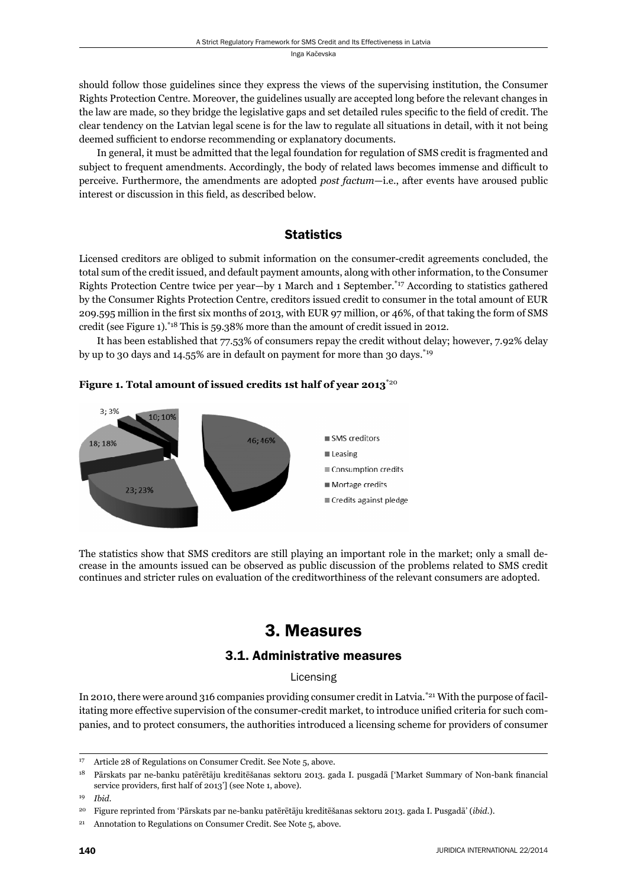should follow those guidelines since they express the views of the supervising institution, the Consumer Rights Protection Centre. Moreover, the guidelines usually are accepted long before the relevant changes in the law are made, so they bridge the legislative gaps and set detailed rules specific to the field of credit. The clear tendency on the Latvian legal scene is for the law to regulate all situations in detail, with it not being deemed sufficient to endorse recommending or explanatory documents.

In general, it must be admitted that the legal foundation for regulation of SMS credit is fragmented and subject to frequent amendments. Accordingly, the body of related laws becomes immense and difficult to perceive. Furthermore, the amendments are adopted *post factum*—i.e., after events have aroused public interest or discussion in this field, as described below.

# **Statistics**

Licensed creditors are obliged to submit information on the consumer-credit agreements concluded, the total sum of the credit issued, and default payment amounts, along with other information, to the Consumer Rights Protection Centre twice per year—by 1 March and 1 September.\*17 According to statistics gathered by the Consumer Rights Protection Centre, creditors issued credit to consumer in the total amount of EUR 209.595 million in the first six months of 2013, with EUR 97 million, or 46%, of that taking the form of SMS credit (see Figure 1).\*18 This is 59.38% more than the amount of credit issued in 2012.

It has been established that 77.53% of consumers repay the credit without delay; however, 7.92% delay by up to 30 days and 14.55% are in default on payment for more than 30 days.\*19





The statistics show that SMS creditors are still playing an important role in the market; only a small decrease in the amounts issued can be observed as public discussion of the problems related to SMS credit continues and stricter rules on evaluation of the creditworthiness of the relevant consumers are adopted.

# 3. Measures

# 3.1. Administrative measures

# Licensing

In 2010, there were around 316 companies providing consumer credit in Latvia.\*21 With the purpose of facilitating more effective supervision of the consumer-credit market, to introduce unified criteria for such companies, and to protect consumers, the authorities introduced a licensing scheme for providers of consumer

<sup>17</sup> Article 28 of Regulations on Consumer Credit. See Note 5, above.

<sup>&</sup>lt;sup>18</sup> Pārskats par ne-banku patērētāju kreditēšanas sektoru 2013. gada I. pusgadā ['Market Summary of Non-bank financial service providers, first half of 2013'] (see Note 1, above).

<sup>19</sup> *Ibid*.

<sup>20</sup> Figure reprinted from 'Pārskats par ne-banku patērētāju kreditēšanas sektoru 2013. gada I. Pusgadā' (*ibid*.).

<sup>&</sup>lt;sup>21</sup> Annotation to Regulations on Consumer Credit. See Note 5, above.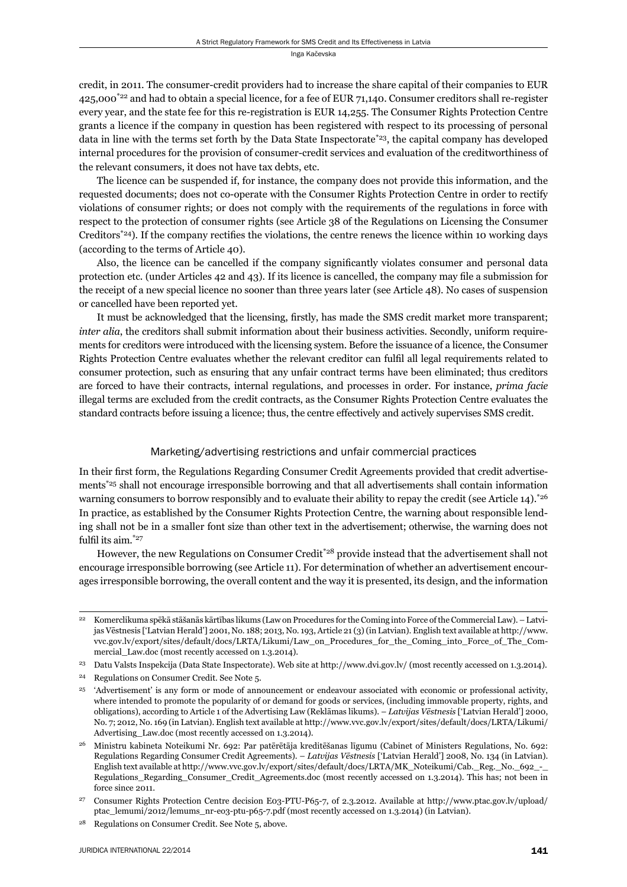credit, in 2011. The consumer-credit providers had to increase the share capital of their companies to EUR 425,000<sup>\*22</sup> and had to obtain a special licence, for a fee of EUR 71,140. Consumer creditors shall re-register every year, and the state fee for this re-registration is EUR 14,255. The Consumer Rights Protection Centre grants a licence if the company in question has been registered with respect to its processing of personal data in line with the terms set forth by the Data State Inspectorate<sup>\*23</sup>, the capital company has developed internal procedures for the provision of consumer-credit services and evaluation of the creditworthiness of the relevant consumers, it does not have tax debts, etc.

The licence can be suspended if, for instance, the company does not provide this information, and the requested documents; does not co-operate with the Consumer Rights Protection Centre in order to rectify violations of consumer rights; or does not comply with the requirements of the regulations in force with respect to the protection of consumer rights (see Article 38 of the Regulations on Licensing the Consumer Creditors<sup>\*24</sup>). If the company rectifies the violations, the centre renews the licence within 10 working days (according to the terms of Article 40).

Also, the licence can be cancelled if the company significantly violates consumer and personal data protection etc. (under Articles 42 and 43). If its licence is cancelled, the company may file a submission for the receipt of a new special licence no sooner than three years later (see Article 48). No cases of suspension or cancelled have been reported yet.

It must be acknowledged that the licensing, firstly, has made the SMS credit market more transparent; *inter alia*, the creditors shall submit information about their business activities. Secondly, uniform requirements for creditors were introduced with the licensing system. Before the issuance of a licence, the Consumer Rights Protection Centre evaluates whether the relevant creditor can fulfil all legal requirements related to consumer protection, such as ensuring that any unfair contract terms have been eliminated; thus creditors are forced to have their contracts, internal regulations, and processes in order. For instance, *prima facie* illegal terms are excluded from the credit contracts, as the Consumer Rights Protection Centre evaluates the standard contracts before issuing a licence; thus, the centre effectively and actively supervises SMS credit.

# Marketing/advertising restrictions and unfair commercial practices

In their first form, the Regulations Regarding Consumer Credit Agreements provided that credit advertisements<sup>\*25</sup> shall not encourage irresponsible borrowing and that all advertisements shall contain information warning consumers to borrow responsibly and to evaluate their ability to repay the credit (see Article 14).<sup>\*26</sup> In practice, as established by the Consumer Rights Protection Centre, the warning about responsible lending shall not be in a smaller font size than other text in the advertisement; otherwise, the warning does not fulfil its aim. $*$ <sup>27</sup>

However, the new Regulations on Consumer Credit\*28 provide instead that the advertisement shall not encourage irresponsible borrowing (see Article 11). For determination of whether an advertisement encourages irresponsible borrowing, the overall content and the way it is presented, its design, and the information

<sup>22</sup> Komerclikuma spēkā stāšanās kārtības likums (Law on Procedures for the Coming into Force of the Commercial Law). – Latvijas Vēstnesis ['Latvian Herald'] 2001, No. 188; 2013, No. 193, Article 21 (3) (in Latvian). English text available at http://www. vvc.gov.lv/export/sites/default/docs/LRTA/Likumi/Law\_on\_Procedures\_for\_the\_Coming\_into\_Force\_of\_The\_Commercial\_Law.doc (most recently accessed on 1.3.2014).

<sup>23</sup> Datu Valsts Inspekcija (Data State Inspectorate). Web site at http://www.dvi.gov.lv/ (most recently accessed on 1.3.2014).

<sup>24</sup> Regulations on Consumer Credit. See Note 5.

<sup>&</sup>lt;sup>25</sup> 'Advertisement' is any form or mode of announcement or endeavour associated with economic or professional activity, where intended to promote the popularity of or demand for goods or services, (including immovable property, rights, and obligations), according to Article 1 of the Advertising Law (Reklāmas likums). – *Latvijas Vēstnesis* ['Latvian Herald'] 2000, No. 7; 2012, No. 169 (in Latvian). English text available at http://www.vvc.gov.lv/export/sites/default/docs/LRTA/Likumi/ Advertising Law.doc (most recently accessed on 1.3.2014).

<sup>26</sup> Ministru kabineta Noteikumi Nr. 692: Par patērētāja kreditēšanas līgumu (Cabinet of Ministers Regulations, No. 692: Regulations Regarding Consumer Credit Agreements). – *Latvijas Vēstnesis* ['Latvian Herald'] 2008, No. 134 (in Latvian). English text available at http://www.vvc.gov.lv/export/sites/default/docs/LRTA/MK\_Noteikumi/Cab.\_Reg.\_No.\_692\_-\_ Regulations\_Regarding\_Consumer\_Credit\_Agreements.doc (most recently accessed on 1.3.2014). This has; not been in force since 2011.

<sup>27</sup> Consumer Rights Protection Centre decision E03-PTU-P65-7, of 2.3.2012. Available at http://www.ptac.gov.lv/upload/ ptac\_lemumi/2012/lemums\_nr-eo3-ptu-p65-7.pdf (most recently accessed on 1.3.2014) (in Latvian).

<sup>28</sup> Regulations on Consumer Credit. See Note 5, above.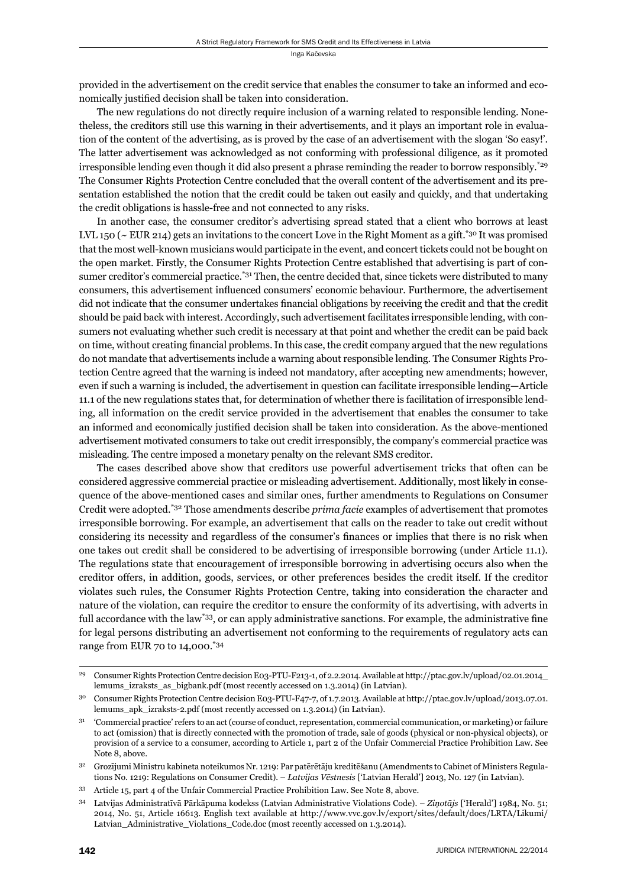provided in the advertisement on the credit service that enables the consumer to take an informed and economically justified decision shall be taken into consideration.

The new regulations do not directly require inclusion of a warning related to responsible lending. Nonetheless, the creditors still use this warning in their advertisements, and it plays an important role in evaluation of the content of the advertising, as is proved by the case of an advertisement with the slogan 'So easy!'. The latter advertisement was acknowledged as not conforming with professional diligence, as it promoted irresponsible lending even though it did also present a phrase reminding the reader to borrow responsibly.\*29 The Consumer Rights Protection Centre concluded that the overall content of the advertisement and its presentation established the notion that the credit could be taken out easily and quickly, and that undertaking the credit obligations is hassle-free and not connected to any risks.

In another case, the consumer creditor's advertising spread stated that a client who borrows at least LVL 150 ( $\sim$  EUR 214) gets an invitations to the concert Love in the Right Moment as a gift.<sup>\*30</sup> It was promised that the most well-known musicians would participate in the event, and concert tickets could not be bought on the open market. Firstly, the Consumer Rights Protection Centre established that advertising is part of consumer creditor's commercial practice.<sup>\*31</sup> Then, the centre decided that, since tickets were distributed to many consumers, this advertisement influenced consumers' economic behaviour. Furthermore, the advertisement did not indicate that the consumer undertakes financial obligations by receiving the credit and that the credit should be paid back with interest. Accordingly, such advertisement facilitates irresponsible lending, with consumers not evaluating whether such credit is necessary at that point and whether the credit can be paid back on time, without creating financial problems. In this case, the credit company argued that the new regulations do not mandate that advertisements include a warning about responsible lending. The Consumer Rights Protection Centre agreed that the warning is indeed not mandatory, after accepting new amendments; however, even if such a warning is included, the advertisement in question can facilitate irresponsible lending—Article 11.1 of the new regulations states that, for determination of whether there is facilitation of irresponsible lending, all information on the credit service provided in the advertisement that enables the consumer to take an informed and economically justified decision shall be taken into consideration. As the above-mentioned advertisement motivated consumers to take out credit irresponsibly, the company's commercial practice was misleading. The centre imposed a monetary penalty on the relevant SMS creditor.

The cases described above show that creditors use powerful advertisement tricks that often can be considered aggressive commercial practice or misleading advertisement. Additionally, most likely in consequence of the above-mentioned cases and similar ones, further amendments to Regulations on Consumer Credit were adopted.\*32 Those amendments describe *prima facie* examples of advertisement that promotes irresponsible borrowing. For example, an advertisement that calls on the reader to take out credit without considering its necessity and regardless of the consumer's finances or implies that there is no risk when one takes out credit shall be considered to be advertising of irresponsible borrowing (under Article 11.1). The regulations state that encouragement of irresponsible borrowing in advertising occurs also when the creditor offers, in addition, goods, services, or other preferences besides the credit itself. If the creditor violates such rules, the Consumer Rights Protection Centre, taking into consideration the character and nature of the violation, can require the creditor to ensure the conformity of its advertising, with adverts in full accordance with the law<sup>\*33</sup>, or can apply administrative sanctions. For example, the administrative fine for legal persons distributing an advertisement not conforming to the requirements of regulatory acts can range from EUR 70 to 14,000.\*34

<sup>29</sup> Consumer Rights Protection Centre decision E03-PTU-F213-1, of 2.2.2014. Available at http://ptac.gov.lv/upload/02.01.2014\_ lemums\_izraksts\_as\_bigbank.pdf (most recently accessed on 1.3.2014) (in Latvian).

<sup>30</sup> Consumer Rights Protection Centre decision E03-PTU-F47-7, of 1.7.2013. Available at http://ptac.gov.lv/upload/2013.07.01. lemums\_apk\_izraksts-2.pdf (most recently accessed on 1.3.2014) (in Latvian).

<sup>31 &#</sup>x27;Commercial practice' refers to an act (course of conduct, representation, commercial communication, or marketing) or failure to act (omission) that is directly connected with the promotion of trade, sale of goods (physical or non-physical objects), or provision of a service to a consumer, according to Article 1, part 2 of the Unfair Commercial Practice Prohibition Law. See Note 8, above.

<sup>32</sup> Grozījumi Ministru kabineta noteikumos Nr. 1219: Par patērētāju kreditēšanu (Amendments to Cabinet of Ministers Regulations No. 1219: Regulations on Consumer Credit). – *Latvijas Vēstnesis* ['Latvian Herald'] 2013, No. 127 (in Latvian).

<sup>33</sup> Article 15, part 4 of the Unfair Commercial Practice Prohibition Law. See Note 8, above.

<sup>34</sup> Latvijas Administratīvā Pārkāpuma kodekss (Latvian Administrative Violations Code). – *Ziņotājs* ['Herald'] 1984, No. 51; 2014, No. 51, Article 16613. English text available at http://www.vvc.gov.lv/export/sites/default/docs/LRTA/Likumi/ Latvian\_Administrative\_Violations\_Code.doc (most recently accessed on 1.3.2014).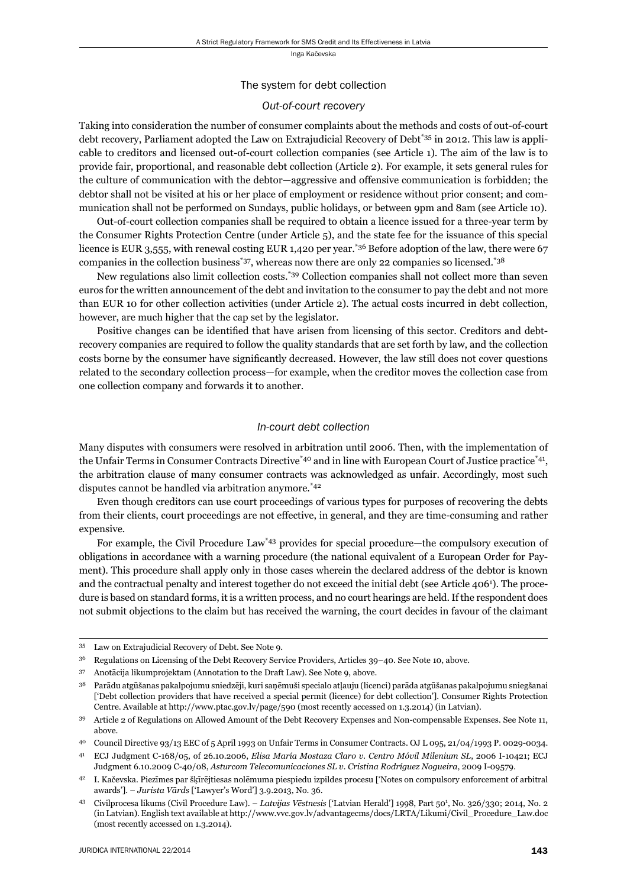#### The system for debt collection

#### *Out-of-court recovery*

Taking into consideration the number of consumer complaints about the methods and costs of out-of-court debt recovery, Parliament adopted the Law on Extrajudicial Recovery of Debt<sup>\*35</sup> in 2012. This law is applicable to creditors and licensed out-of-court collection companies (see Article 1). The aim of the law is to provide fair, proportional, and reasonable debt collection (Article 2). For example, it sets general rules for the culture of communication with the debtor—aggressive and offensive communication is forbidden; the debtor shall not be visited at his or her place of employment or residence without prior consent; and communication shall not be performed on Sundays, public holidays, or between 9pm and 8am (see Article 10).

Out-of-court collection companies shall be required to obtain a licence issued for a three-year term by the Consumer Rights Protection Centre (under Article 5), and the state fee for the issuance of this special licence is EUR 3,555, with renewal costing EUR 1,420 per year.<sup>\*36</sup> Before adoption of the law, there were 67 companies in the collection business<sup>\*37</sup>, whereas now there are only 22 companies so licensed.<sup>\*38</sup>

New regulations also limit collection costs.\*39 Collection companies shall not collect more than seven euros for the written announcement of the debt and invitation to the consumer to pay the debt and not more than EUR 10 for other collection activities (under Article 2). The actual costs incurred in debt collection, however, are much higher that the cap set by the legislator.

Positive changes can be identified that have arisen from licensing of this sector. Creditors and debtrecovery companies are required to follow the quality standards that are set forth by law, and the collection costs borne by the consumer have significantly decreased. However, the law still does not cover questions related to the secondary collection process—for example, when the creditor moves the collection case from one collection company and forwards it to another.

#### *In-court debt collection*

Many disputes with consumers were resolved in arbitration until 2006. Then, with the implementation of the Unfair Terms in Consumer Contracts Directive<sup>\*40</sup> and in line with European Court of Justice practice<sup>\*41</sup>, the arbitration clause of many consumer contracts was acknowledged as unfair. Accordingly, most such disputes cannot be handled via arbitration anymore.\*42

Even though creditors can use court proceedings of various types for purposes of recovering the debts from their clients, court proceedings are not effective, in general, and they are time-consuming and rather expensive.

For example, the Civil Procedure Law\*43 provides for special procedure—the compulsory execution of obligations in accordance with a warning procedure (the national equivalent of a European Order for Payment). This procedure shall apply only in those cases wherein the declared address of the debtor is known and the contractual penalty and interest together do not exceed the initial debt (see Article 406<sup>1</sup>). The procedure is based on standard forms, it is a written process, and no court hearings are held. If the respondent does not submit objections to the claim but has received the warning, the court decides in favour of the claimant

<sup>35</sup> Law on Extrajudicial Recovery of Debt. See Note 9.

<sup>36</sup> Regulations on Licensing of the Debt Recovery Service Providers, Articles 39–40. See Note 10, above.

<sup>37</sup> Anotācija likumprojektam (Annotation to the Draft Law). See Note 9, above.

<sup>38</sup> Parādu atgūšanas pakalpojumu sniedzēji, kuri saņēmuši specialo atļauju (licenci) parāda atgūšanas pakalpojumu sniegšanai ['Debt collection providers that have received a special permit (licence) for debt collection']. Consumer Rights Protection Centre. Available at http://www.ptac.gov.lv/page/590 (most recently accessed on 1.3.2014) (in Latvian).

<sup>39</sup> Article 2 of Regulations on Allowed Amount of the Debt Recovery Expenses and Non-compensable Expenses. See Note 11, above.

<sup>40</sup> Council Directive 93/13 EEC of 5 April 1993 on Unfair Terms in Consumer Contracts. OJ L 095, 21/04/1993 P. 0029-0034.

<sup>41</sup> ECJ Judgment C-168/05, of 26.10.2006, *Elisa María Mostaza Claro v. Centro Móvil Milenium SL*, 2006 I-10421; ECJ Judgment 6.10.2009 C-40/08, *Asturcom Telecomunicaciones SL v. Cristina Rodríguez Nogueira*, 2009 I-09579.

<sup>42</sup> I. Kačevska. Piezīmes par šķīrējtiesas nolēmuma piespiedu izpildes procesu ['Notes on compulsory enforcement of arbitral awards']. – *Jurista Vārds* ['Lawyer's Word'] 3.9.2013, No. 36.

<sup>43</sup> Civilprocesa likums (Civil Procedure Law). – Latvijas Vēstnesis ['Latvian Herald'] 1998, Part 50<sup>1</sup>, No. 326/330; 2014, No. 2 (in Latvian). English text available at http://www.vvc.gov.lv/advantagecms/docs/LRTA/Likumi/Civil\_Procedure\_Law.doc (most recently accessed on 1.3.2014).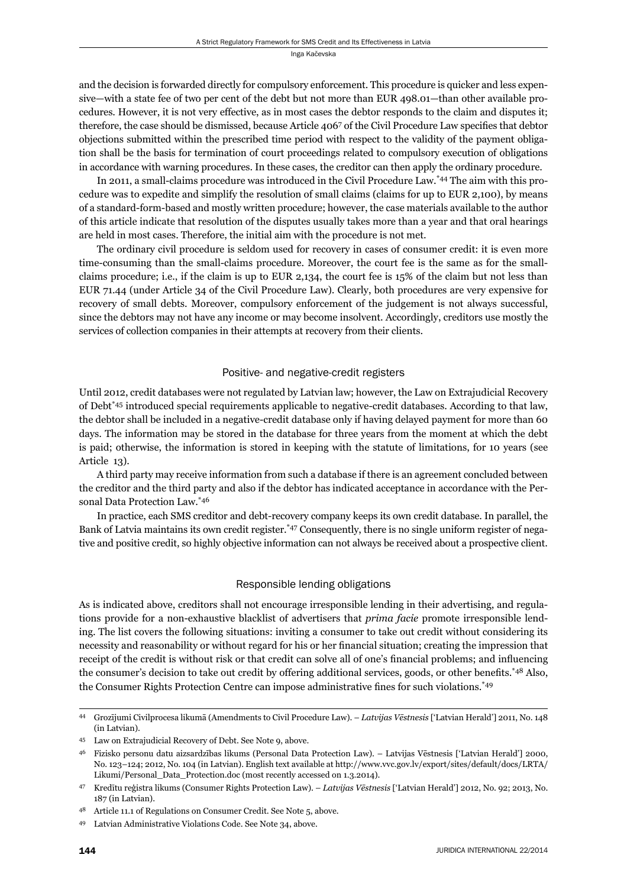and the decision is forwarded directly for compulsory enforcement. This procedure is quicker and less expensive—with a state fee of two per cent of the debt but not more than EUR 498.01—than other available procedures. However, it is not very effective, as in most cases the debtor responds to the claim and disputes it; therefore, the case should be dismissed, because Article 4067 of the Civil Procedure Law specifies that debtor objections submitted within the prescribed time period with respect to the validity of the payment obligation shall be the basis for termination of court proceedings related to compulsory execution of obligations in accordance with warning procedures. In these cases, the creditor can then apply the ordinary procedure.

In 2011, a small-claims procedure was introduced in the Civil Procedure Law.\*44 The aim with this procedure was to expedite and simplify the resolution of small claims (claims for up to EUR 2,100), by means of a standard-form-based and mostly written procedure; however, the case materials available to the author of this article indicate that resolution of the disputes usually takes more than a year and that oral hearings are held in most cases. Therefore, the initial aim with the procedure is not met.

The ordinary civil procedure is seldom used for recovery in cases of consumer credit: it is even more time-consuming than the small-claims procedure. Moreover, the court fee is the same as for the smallclaims procedure; i.e., if the claim is up to EUR 2,134, the court fee is 15% of the claim but not less than EUR 71.44 (under Article 34 of the Civil Procedure Law). Clearly, both procedures are very expensive for recovery of small debts. Moreover, compulsory enforcement of the judgement is not always successful, since the debtors may not have any income or may become insolvent. Accordingly, creditors use mostly the services of collection companies in their attempts at recovery from their clients.

# Positive- and negative-credit registers

Until 2012, credit databases were not regulated by Latvian law; however, the Law on Extrajudicial Recovery of Debt\*45 introduced special requirements applicable to negative-credit databases. According to that law, the debtor shall be included in a negative-credit database only if having delayed payment for more than 60 days. The information may be stored in the database for three years from the moment at which the debt is paid; otherwise, the information is stored in keeping with the statute of limitations, for 10 years (see Article 13).

A third party may receive information from such a database if there is an agreement concluded between the creditor and the third party and also if the debtor has indicated acceptance in accordance with the Personal Data Protection Law.\*46

In practice, each SMS creditor and debt-recovery company keeps its own credit database. In parallel, the Bank of Latvia maintains its own credit register.\*47 Consequently, there is no single uniform register of negative and positive credit, so highly objective information can not always be received about a prospective client.

# Responsible lending obligations

As is indicated above, creditors shall not encourage irresponsible lending in their advertising, and regulations provide for a non-exhaustive blacklist of advertisers that *prima facie* promote irresponsible lending. The list covers the following situations: inviting a consumer to take out credit without considering its necessity and reasonability or without regard for his or her financial situation; creating the impression that receipt of the credit is without risk or that credit can solve all of one's financial problems; and influencing the consumer's decision to take out credit by offering additional services, goods, or other benefits.<sup>\*48</sup> Also, the Consumer Rights Protection Centre can impose administrative fines for such violations.<sup>\*49</sup>

<sup>44</sup> Grozījumi Civilprocesa likumā (Amendments to Civil Procedure Law). – *Latvijas Vēstnesis* ['Latvian Herald'] 2011, No. 148 (in Latvian).

<sup>45</sup> Law on Extrajudicial Recovery of Debt. See Note 9, above.

<sup>46</sup> Fizisko personu datu aizsardzības likums (Personal Data Protection Law). – Latvijas Vēstnesis ['Latvian Herald'] 2000, No. 123–124; 2012, No. 104 (in Latvian). English text available at http://www.vvc.gov.lv/export/sites/default/docs/LRTA/ Likumi/Personal\_Data\_Protection.doc (most recently accessed on 1.3.2014).

<sup>47</sup> Kredītu reģistra likums (Consumer Rights Protection Law). – *Latvijas Vēstnesis* ['Latvian Herald'] 2012, No. 92; 2013, No. 187 (in Latvian).

Article 11.1 of Regulations on Consumer Credit. See Note 5, above.

<sup>49</sup> Latvian Administrative Violations Code. See Note 34, above.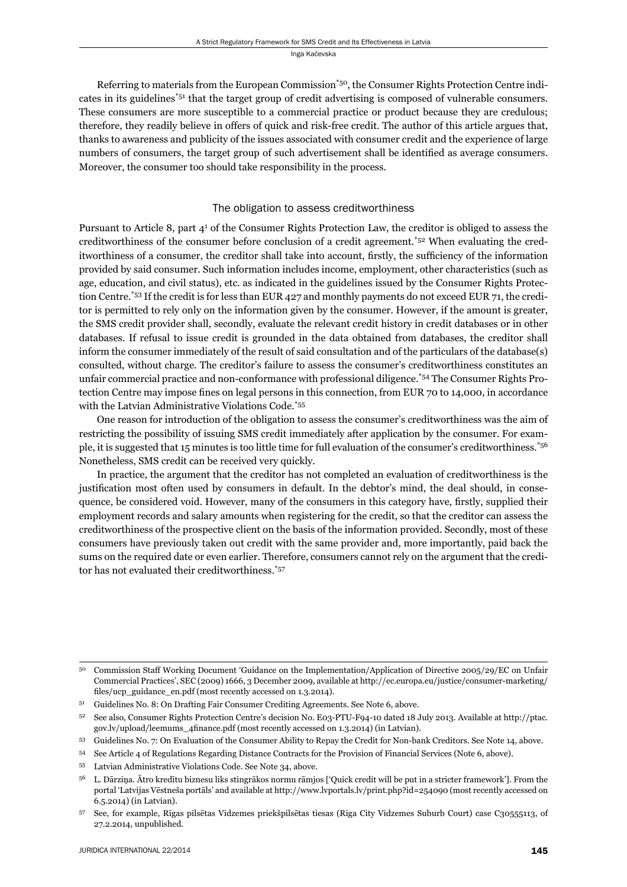Referring to materials from the European Commission\*50, the Consumer Rights Protection Centre indicates in its guidelines\*51 that the target group of credit advertising is composed of vulnerable consumers. These consumers are more susceptible to a commercial practice or product because they are credulous; therefore, they readily believe in offers of quick and risk-free credit. The author of this article argues that, thanks to awareness and publicity of the issues associated with consumer credit and the experience of large numbers of consumers, the target group of such advertisement shall be identified as average consumers. Moreover, the consumer too should take responsibility in the process.

## The obligation to assess creditworthiness

Pursuant to Article 8, part 4<sup>1</sup> of the Consumer Rights Protection Law, the creditor is obliged to assess the creditworthiness of the consumer before conclusion of a credit agreement.\*52 When evaluating the creditworthiness of a consumer, the creditor shall take into account, firstly, the sufficiency of the information provided by said consumer. Such information includes income, employment, other characteristics (such as age, education, and civil status), etc. as indicated in the guidelines issued by the Consumer Rights Protection Centre.\*53 If the credit is for less than EUR 427 and monthly payments do not exceed EUR 71, the creditor is permitted to rely only on the information given by the consumer. However, if the amount is greater, the SMS credit provider shall, secondly, evaluate the relevant credit history in credit databases or in other databases. If refusal to issue credit is grounded in the data obtained from databases, the creditor shall inform the consumer immediately of the result of said consultation and of the particulars of the database(s) consulted, without charge. The creditor's failure to assess the consumer's creditworthiness constitutes an unfair commercial practice and non-conformance with professional diligence.\*54 The Consumer Rights Protection Centre may impose fines on legal persons in this connection, from EUR 70 to 14,000, in accordance with the Latvian Administrative Violations Code.\*55

One reason for introduction of the obligation to assess the consumer's creditworthiness was the aim of restricting the possibility of issuing SMS credit immediately after application by the consumer. For example, it is suggested that 15 minutes is too little time for full evaluation of the consumer's creditworthiness.\*56 Nonetheless, SMS credit can be received very quickly.

In practice, the argument that the creditor has not completed an evaluation of creditworthiness is the justification most often used by consumers in default. In the debtor's mind, the deal should, in consequence, be considered void. However, many of the consumers in this category have, firstly, supplied their employment records and salary amounts when registering for the credit, so that the creditor can assess the credit worthiness of the prospective client on the basis of the information provided. Secondly, most of these consumers have previously taken out credit with the same provider and, more importantly, paid back the sums on the required date or even earlier. Therefore, consumers cannot rely on the argument that the creditor has not evaluated their creditworthiness.\*57

<sup>50</sup> Commission Staff Working Document 'Guidance on the Implementation/Application of Directive 2005/29/EC on Unfair Commercial Practices', SEC (2009) 1666, 3 December 2009, available at http://ec.europa.eu/justice/consumer-marketing/ files/ucp\_guidance\_en.pdf (most recently accessed on 1.3.2014).

<sup>51</sup> Guidelines No. 8: On Drafting Fair Consumer Crediting Agreements. See Note 6, above.

<sup>52</sup> See also, Consumer Rights Protection Centre's decision No. E03-PTU-F94-10 dated 18 July 2013. Available at http://ptac. gov.lv/upload/leemums\_4finance.pdf (most recently accessed on 1.3.2014) (in Latvian).

<sup>53</sup> Guidelines No. 7: On Evaluation of the Consumer Ability to Repay the Credit for Non-bank Creditors. See Note 14, above.

<sup>54</sup> See Article 4 of Regulations Regarding Distance Contracts for the Provision of Financial Services (Note 6, above).

<sup>55</sup> Latvian Administrative Violations Code. See Note 34, above.

<sup>56</sup> L. Dārziņa. Ātro kredītu biznesu liks stingrākos normu rāmjos ['Quick credit will be put in a stricter framework']. From the portal 'Latvijas Vēstneša portāls' and available at http://www.lvportals.lv/print.php?id=254090 (most recently accessed on 6.5.2014) (in Latvian).

<sup>57</sup> See, for example, Rīgas pilsētas Vidzemes priekšpilsētas tiesas (Riga City Vidzemes Suburb Court) case C30555113, of 27.2.2014, unpublished.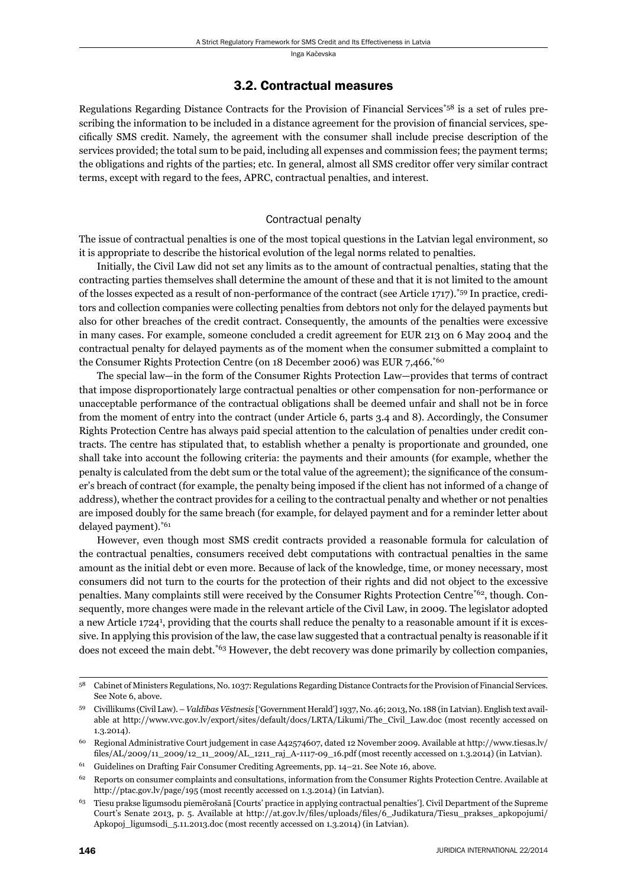### 3.2. Contractual measures

Regulations Regarding Distance Contracts for the Provision of Financial Services\*58 is a set of rules prescribing the information to be included in a distance agreement for the provision of financial services, specifically SMS credit. Namely, the agreement with the consumer shall include precise description of the services provided; the total sum to be paid, including all expenses and commission fees; the payment terms; the obligations and rights of the parties; etc. In general, almost all SMS creditor offer very similar contract terms, except with regard to the fees, APRC, contractual penalties, and interest.

#### Contractual penalty

The issue of contractual penalties is one of the most topical questions in the Latvian legal environment, so it is appropriate to describe the historical evolution of the legal norms related to penalties.

Initially, the Civil Law did not set any limits as to the amount of contractual penalties, stating that the contracting parties themselves shall determine the amount of these and that it is not limited to the amount of the losses expected as a result of non-performance of the contract (see Article 1717).\*59 In practice, creditors and collection companies were collecting penalties from debtors not only for the delayed payments but also for other breaches of the credit contract. Consequently, the amounts of the penalties were excessive in many cases. For example, someone concluded a credit agreement for EUR 213 on 6 May 2004 and the contractual penalty for delayed payments as of the moment when the consumer submitted a complaint to the Consumer Rights Protection Centre (on 18 December 2006) was EUR 7,466.\*60

The special law—in the form of the Consumer Rights Protection Law—provides that terms of contract that impose disproportionately large contractual penalties or other compensation for non-performance or unacceptable performance of the contractual obligations shall be deemed unfair and shall not be in force from the moment of entry into the contract (under Article 6, parts 3.4 and 8). Accordingly, the Consumer Rights Protection Centre has always paid special attention to the calculation of penalties under credit contracts. The centre has stipulated that, to establish whether a penalty is proportionate and grounded, one shall take into account the following criteria: the payments and their amounts (for example, whether the penalty is calculated from the debt sum or the total value of the agreement); the significance of the consumer's breach of contract (for example, the penalty being imposed if the client has not informed of a change of address), whether the contract provides for a ceiling to the contractual penalty and whether or not penalties are imposed doubly for the same breach (for example, for delayed payment and for a reminder letter about delayed payment).<sup>\*61</sup>

However, even though most SMS credit contracts provided a reasonable formula for calculation of the contractual penalties, consumers received debt computations with contractual penalties in the same amount as the initial debt or even more. Because of lack of the knowledge, time, or money necessary, most consumers did not turn to the courts for the protection of their rights and did not object to the excessive penalties. Many complaints still were received by the Consumer Rights Protection Centre\*62, though. Consequently, more changes were made in the relevant article of the Civil Law, in 2009. The legislator adopted a new Article 1724<sup>1</sup>, providing that the courts shall reduce the penalty to a reasonable amount if it is excessive. In applying this provision of the law, the case law suggested that a contractual penalty is reasonable if it does not exceed the main debt.<sup>\*63</sup> However, the debt recovery was done primarily by collection companies,

<sup>58</sup> Cabinet of Ministers Regulations, No. 1037: Regulations Regarding Distance Contracts for the Provision of Financial Services. See Note 6, above.

<sup>59</sup> Civillikums (Civil Law). – *Valdības Vēstnesis* ['Government Herald'] 1937, No. 46; 2013, No. 188 (in Latvian). English text available at http://www.vvc.gov.lv/export/sites/default/docs/LRTA/Likumi/The\_Civil\_Law.doc (most recently accessed on 1.3.2014).

<sup>60</sup> Regional Administrative Court judgement in case A42574607, dated 12 November 2009. Available at http://www.tiesas.lv/ files/AL/2009/11\_2009/12\_11\_2009/AL\_1211\_raj\_A-1117-09\_16.pdf (most recently accessed on 1.3.2014) (in Latvian).

<sup>61</sup> Guidelines on Drafting Fair Consumer Crediting Agreements, pp. 14–21. See Note 16, above.

 $62$  Reports on consumer complaints and consultations, information from the Consumer Rights Protection Centre. Available at http://ptac.gov.lv/page/195 (most recently accessed on 1.3.2014) (in Latvian).

<sup>63</sup> Tiesu prakse līgumsodu piemērošanā [Courts' practice in applying contractual penalties']. Civil Department of the Supreme Court's Senate 2013, p. 5. Available at http://at.gov.lv/files/uploads/files/6\_Judikatura/Tiesu\_prakses\_apkopojumi/ Apkopoj\_ligumsodi\_5.11.2013.doc (most recently accessed on 1.3.2014) (in Latvian).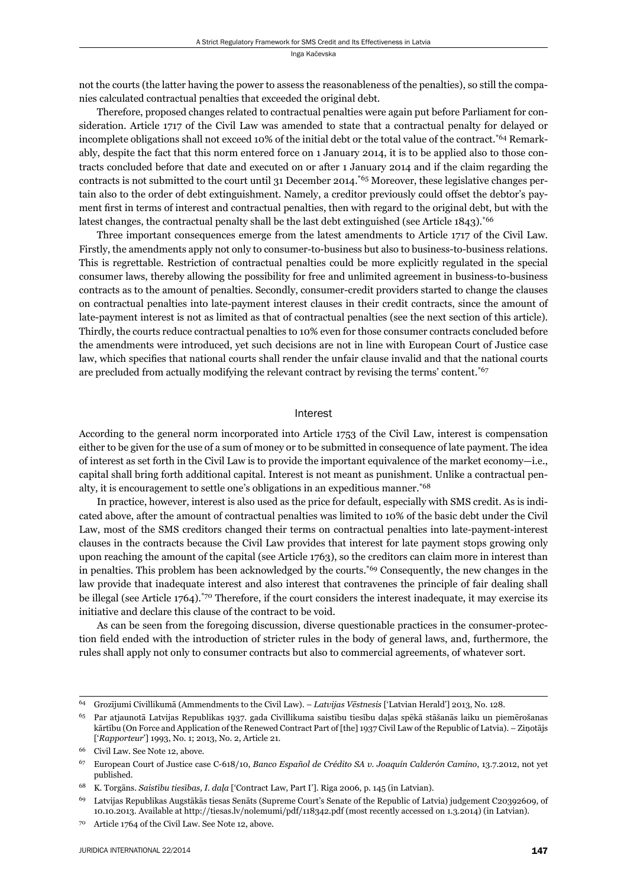not the courts (the latter having the power to assess the reasonableness of the penalties), so still the companies calculated contractual penalties that exceeded the original debt.

Therefore, proposed changes related to contractual penalties were again put before Parliament for consideration. Article 1717 of the Civil Law was amended to state that a contractual penalty for delayed or incomplete obligations shall not exceed 10% of the initial debt or the total value of the contract.\*64 Remarkably, despite the fact that this norm entered force on 1 January 2014, it is to be applied also to those contracts concluded before that date and executed on or after 1 January 2014 and if the claim regarding the contracts is not submitted to the court until 31 December 2014.<sup>\*65</sup> Moreover, these legislative changes pertain also to the order of debt extinguishment. Namely, a creditor previously could offset the debtor's payment first in terms of interest and contractual penalties, then with regard to the original debt, but with the latest changes, the contractual penalty shall be the last debt extinguished (see Article 1843).<sup>\*66</sup>

Three important consequences emerge from the latest amendments to Article 1717 of the Civil Law. Firstly, the amendments apply not only to consumer-to-business but also to business-to-business relations. This is regrettable. Restriction of contractual penalties could be more explicitly regulated in the special consumer laws, thereby allowing the possibility for free and unlimited agreement in business-to-business contracts as to the amount of penalties. Secondly, consumer-credit providers started to change the clauses on contractual penalties into late-payment interest clauses in their credit contracts, since the amount of late-payment interest is not as limited as that of contractual penalties (see the next section of this article). Thirdly, the courts reduce contractual penalties to 10% even for those consumer contracts concluded before the amendments were introduced, yet such decisions are not in line with European Court of Justice case law, which specifies that national courts shall render the unfair clause invalid and that the national courts are precluded from actually modifying the relevant contract by revising the terms' content.<sup>\*67</sup>

#### Interest

According to the general norm incorporated into Article 1753 of the Civil Law, interest is compensation either to be given for the use of a sum of money or to be submitted in consequence of late payment. The idea of interest as set forth in the Civil Law is to provide the important equivalence of the market economy—i.e., capital shall bring forth additional capital. Interest is not meant as punishment. Unlike a contractual penalty, it is encouragement to settle one's obligations in an expeditious manner.\*68

In practice, however, interest is also used as the price for default, especially with SMS credit. As is indicated above, after the amount of contractual penalties was limited to 10% of the basic debt under the Civil Law, most of the SMS creditors changed their terms on contractual penalties into late-payment-interest clauses in the contracts because the Civil Law provides that interest for late payment stops growing only upon reaching the amount of the capital (see Article 1763), so the creditors can claim more in interest than in penalties. This problem has been acknowledged by the courts.\*69 Consequently, the new changes in the law provide that inadequate interest and also interest that contravenes the principle of fair dealing shall be illegal (see Article 1764).\*70 Therefore, if the court considers the interest inadequate, it may exercise its initiative and declare this clause of the contract to be void.

As can be seen from the foregoing discussion, diverse questionable practices in the consumer-protection field ended with the introduction of stricter rules in the body of general laws, and, furthermore, the rules shall apply not only to consumer contracts but also to commercial agreements, of whatever sort.

<sup>64</sup> Grozījumi Civillikumā (Ammendments to the Civil Law). – *Latvijas Vēstnesis* ['Latvian Herald'] 2013, No. 128.

<sup>65</sup> Par atjaunotā Latvijas Republikas 1937. gada Civillikuma saistību tiesību daļas spēkā stāšanās laiku un piemērošanas kārtību (On Force and Application of the Renewed Contract Part of [the] 1937 Civil Law of the Republic of Latvia). – Ziņotājs [' *Rapporteur*'] 1993, No. 1; 2013, No. 2, Article 21.

Civil Law. See Note 12, above.

<sup>67</sup> European Court of Justice case C-618/10, *Banco Español de Crédito SA v. Joaquín Calderón Camino*, 13.7.2012, not yet published.

<sup>68</sup> K. Torgāns. *Saistību tiesības, I. daļa* ['Contract Law, Part I']. Riga 2006, p. 145 (in Latvian).

<sup>69</sup> Latvijas Republikas Augstākās tiesas Senāts (Supreme Court's Senate of the Republic of Latvia) judgement C20392609, of 10.10.2013. Available at http://tiesas.lv/nolemumi/pdf/118342.pdf (most recently accessed on 1.3.2014) (in Latvian).

<sup>70</sup> Article 1764 of the Civil Law. See Note 12, above.